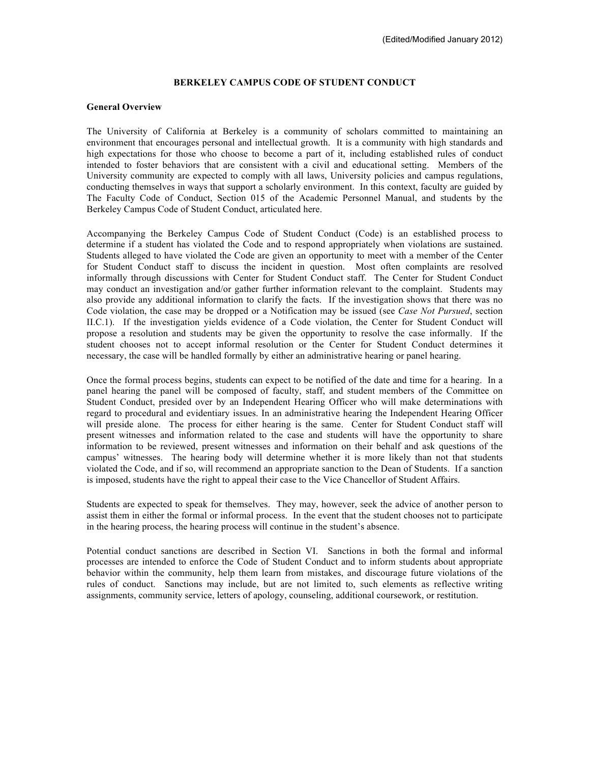### **BERKELEY CAMPUS CODE OF STUDENT CONDUCT**

### **General Overview**

The University of California at Berkeley is a community of scholars committed to maintaining an environment that encourages personal and intellectual growth. It is a community with high standards and high expectations for those who choose to become a part of it, including established rules of conduct intended to foster behaviors that are consistent with a civil and educational setting. Members of the University community are expected to comply with all laws, University policies and campus regulations, conducting themselves in ways that support a scholarly environment. In this context, faculty are guided by The Faculty Code of Conduct, Section 015 of the Academic Personnel Manual, and students by the Berkeley Campus Code of Student Conduct, articulated here.

Accompanying the Berkeley Campus Code of Student Conduct (Code) is an established process to determine if a student has violated the Code and to respond appropriately when violations are sustained. Students alleged to have violated the Code are given an opportunity to meet with a member of the Center for Student Conduct staff to discuss the incident in question. Most often complaints are resolved informally through discussions with Center for Student Conduct staff. The Center for Student Conduct may conduct an investigation and/or gather further information relevant to the complaint. Students may also provide any additional information to clarify the facts. If the investigation shows that there was no Code violation, the case may be dropped or a Notification may be issued (see *Case Not Pursued*, section II.C.1). If the investigation yields evidence of a Code violation, the Center for Student Conduct will propose a resolution and students may be given the opportunity to resolve the case informally. If the student chooses not to accept informal resolution or the Center for Student Conduct determines it necessary, the case will be handled formally by either an administrative hearing or panel hearing.

Once the formal process begins, students can expect to be notified of the date and time for a hearing. In a panel hearing the panel will be composed of faculty, staff, and student members of the Committee on Student Conduct, presided over by an Independent Hearing Officer who will make determinations with regard to procedural and evidentiary issues. In an administrative hearing the Independent Hearing Officer will preside alone. The process for either hearing is the same. Center for Student Conduct staff will present witnesses and information related to the case and students will have the opportunity to share information to be reviewed, present witnesses and information on their behalf and ask questions of the campus' witnesses. The hearing body will determine whether it is more likely than not that students violated the Code, and if so, will recommend an appropriate sanction to the Dean of Students. If a sanction is imposed, students have the right to appeal their case to the Vice Chancellor of Student Affairs.

Students are expected to speak for themselves. They may, however, seek the advice of another person to assist them in either the formal or informal process. In the event that the student chooses not to participate in the hearing process, the hearing process will continue in the student's absence.

Potential conduct sanctions are described in Section VI. Sanctions in both the formal and informal processes are intended to enforce the Code of Student Conduct and to inform students about appropriate behavior within the community, help them learn from mistakes, and discourage future violations of the rules of conduct. Sanctions may include, but are not limited to, such elements as reflective writing assignments, community service, letters of apology, counseling, additional coursework, or restitution.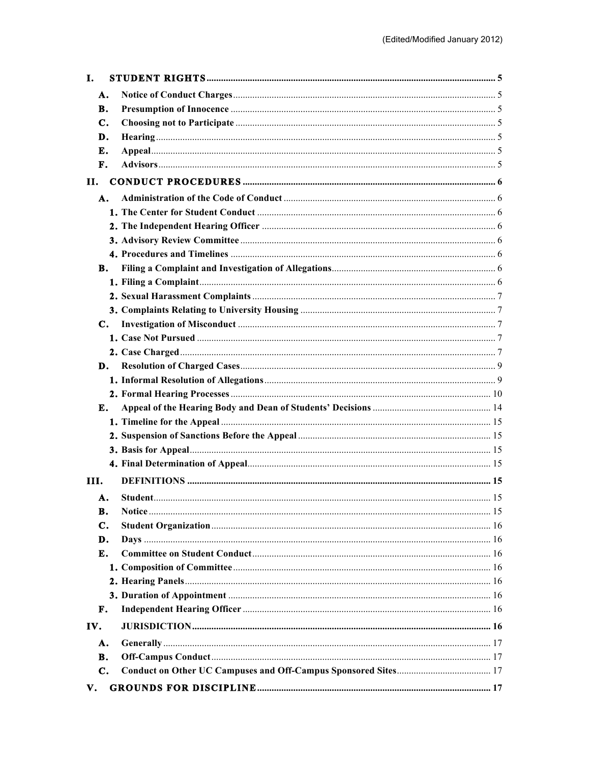| <b>I.</b> |                |  |
|-----------|----------------|--|
|           | А.             |  |
|           | В.             |  |
|           | $\mathbf{C}$ . |  |
|           | D.             |  |
|           | E.             |  |
|           | F.             |  |
| П.        |                |  |
|           | A.             |  |
|           |                |  |
|           |                |  |
|           |                |  |
|           |                |  |
|           | В.             |  |
|           |                |  |
|           |                |  |
|           |                |  |
|           | С.             |  |
|           |                |  |
|           |                |  |
|           | D.             |  |
|           |                |  |
|           |                |  |
|           | E.             |  |
|           |                |  |
|           |                |  |
|           |                |  |
|           |                |  |
| III.      |                |  |
|           | А.             |  |
|           | B.             |  |
|           | C.             |  |
|           | D.             |  |
|           | E.             |  |
|           |                |  |
|           |                |  |
|           |                |  |
|           | F.             |  |
| IV.       |                |  |
|           | А.             |  |
|           | В.             |  |
|           | $\mathbf{C}$ . |  |
| V.        |                |  |
|           |                |  |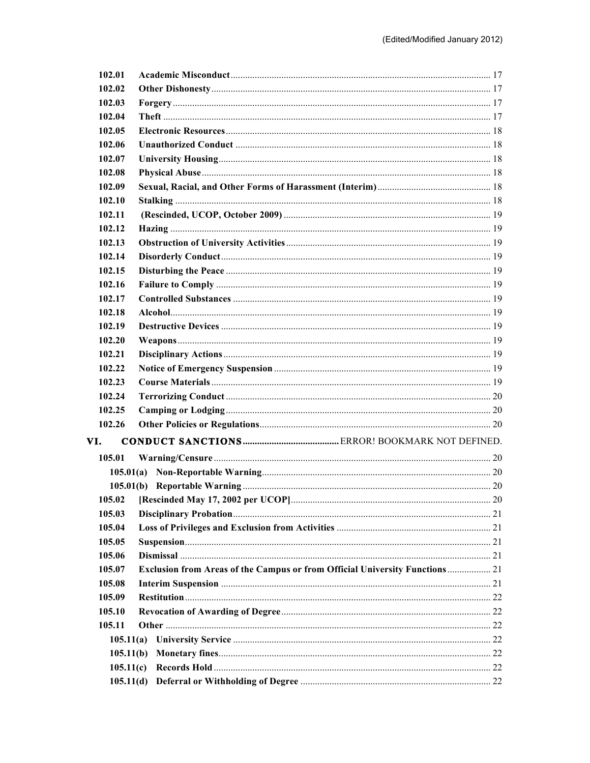| 102.01    |                                                                                     |  |
|-----------|-------------------------------------------------------------------------------------|--|
| 102.02    |                                                                                     |  |
| 102.03    |                                                                                     |  |
| 102.04    |                                                                                     |  |
| 102.05    |                                                                                     |  |
| 102.06    |                                                                                     |  |
| 102.07    |                                                                                     |  |
| 102.08    |                                                                                     |  |
| 102.09    |                                                                                     |  |
| 102.10    |                                                                                     |  |
| 102.11    |                                                                                     |  |
| 102.12    |                                                                                     |  |
| 102.13    |                                                                                     |  |
| 102.14    |                                                                                     |  |
| 102.15    |                                                                                     |  |
| 102.16    |                                                                                     |  |
| 102.17    |                                                                                     |  |
| 102.18    |                                                                                     |  |
| 102.19    |                                                                                     |  |
| 102.20    |                                                                                     |  |
| 102.21    |                                                                                     |  |
| 102.22    |                                                                                     |  |
| 102.23    |                                                                                     |  |
| 102.24    |                                                                                     |  |
| 102.25    |                                                                                     |  |
| 102.26    |                                                                                     |  |
| VI.       |                                                                                     |  |
| 105.01    |                                                                                     |  |
| 105.01(a) |                                                                                     |  |
|           |                                                                                     |  |
|           |                                                                                     |  |
| 105.03    |                                                                                     |  |
| 105.04    |                                                                                     |  |
| 105.05    |                                                                                     |  |
| 105.06    |                                                                                     |  |
| 105.07    | <b>Exclusion from Areas of the Campus or from Official University Functions  21</b> |  |
| 105.08    |                                                                                     |  |
| 105.09    |                                                                                     |  |
| 105.10    |                                                                                     |  |
|           |                                                                                     |  |
| 105.11    |                                                                                     |  |
| 105.11(a) |                                                                                     |  |
| 105.11(b) |                                                                                     |  |
| 105.11(c) |                                                                                     |  |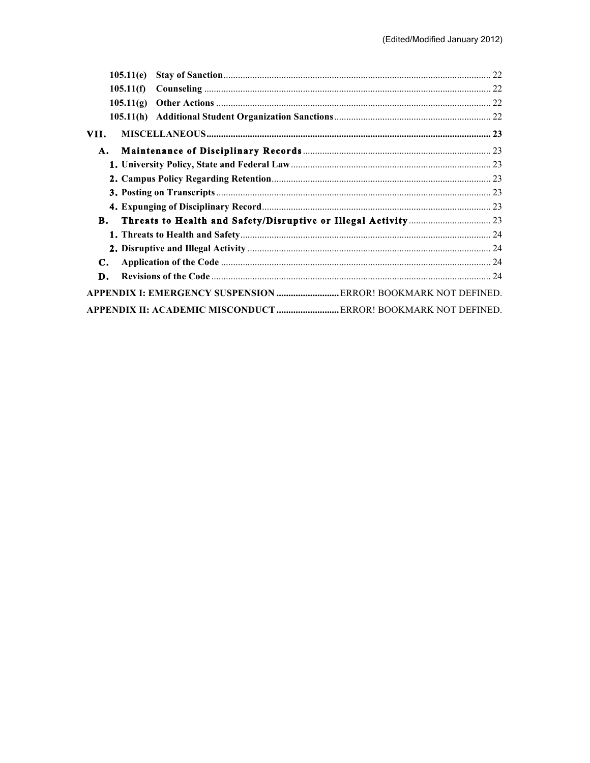|      | 105.11(e)                                                             |  |
|------|-----------------------------------------------------------------------|--|
|      | 105.11(f)                                                             |  |
|      | 105.11(g)                                                             |  |
|      |                                                                       |  |
| VII. |                                                                       |  |
| А.   |                                                                       |  |
|      |                                                                       |  |
|      |                                                                       |  |
|      |                                                                       |  |
|      |                                                                       |  |
| В.   |                                                                       |  |
|      |                                                                       |  |
|      |                                                                       |  |
| C.   |                                                                       |  |
| D.   |                                                                       |  |
|      | APPENDIX I: EMERGENCY SUSPENSION  ERROR! BOOKMARK NOT DEFINED.        |  |
|      | <b>APPENDIX II: ACADEMIC MISCONDUCT  ERROR! BOOKMARK NOT DEFINED.</b> |  |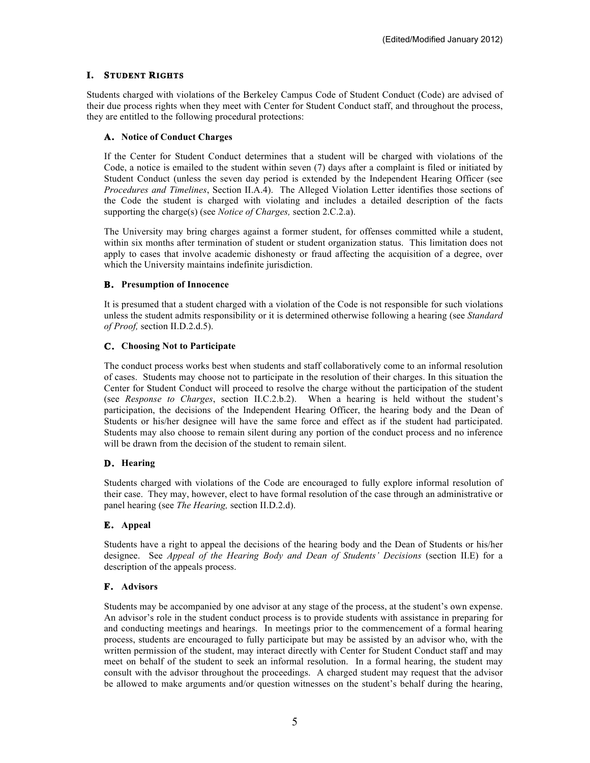# **I. STUDENT RIGHTS**

Students charged with violations of the Berkeley Campus Code of Student Conduct (Code) are advised of their due process rights when they meet with Center for Student Conduct staff, and throughout the process, they are entitled to the following procedural protections:

## **A. Notice of Conduct Charges**

If the Center for Student Conduct determines that a student will be charged with violations of the Code, a notice is emailed to the student within seven (7) days after a complaint is filed or initiated by Student Conduct (unless the seven day period is extended by the Independent Hearing Officer (see *Procedures and Timelines*, Section II.A.4). The Alleged Violation Letter identifies those sections of the Code the student is charged with violating and includes a detailed description of the facts supporting the charge(s) (see *Notice of Charges,* section 2.C.2.a).

The University may bring charges against a former student, for offenses committed while a student, within six months after termination of student or student organization status. This limitation does not apply to cases that involve academic dishonesty or fraud affecting the acquisition of a degree, over which the University maintains indefinite jurisdiction.

## **B. Presumption of Innocence**

It is presumed that a student charged with a violation of the Code is not responsible for such violations unless the student admits responsibility or it is determined otherwise following a hearing (see *Standard of Proof,* section II.D.2.d.5).

## **C. Choosing Not to Participate**

The conduct process works best when students and staff collaboratively come to an informal resolution of cases. Students may choose not to participate in the resolution of their charges. In this situation the Center for Student Conduct will proceed to resolve the charge without the participation of the student (see *Response to Charges*, section II.C.2.b.2). When a hearing is held without the student's participation, the decisions of the Independent Hearing Officer, the hearing body and the Dean of Students or his/her designee will have the same force and effect as if the student had participated. Students may also choose to remain silent during any portion of the conduct process and no inference will be drawn from the decision of the student to remain silent.

## **D. Hearing**

Students charged with violations of the Code are encouraged to fully explore informal resolution of their case. They may, however, elect to have formal resolution of the case through an administrative or panel hearing (see *The Hearing,* section II.D.2.d).

# **E. Appeal**

Students have a right to appeal the decisions of the hearing body and the Dean of Students or his/her designee. See *Appeal of the Hearing Body and Dean of Students' Decisions* (section II.E) for a description of the appeals process.

## **F. Advisors**

Students may be accompanied by one advisor at any stage of the process, at the student's own expense. An advisor's role in the student conduct process is to provide students with assistance in preparing for and conducting meetings and hearings. In meetings prior to the commencement of a formal hearing process, students are encouraged to fully participate but may be assisted by an advisor who, with the written permission of the student, may interact directly with Center for Student Conduct staff and may meet on behalf of the student to seek an informal resolution. In a formal hearing, the student may consult with the advisor throughout the proceedings. A charged student may request that the advisor be allowed to make arguments and/or question witnesses on the student's behalf during the hearing,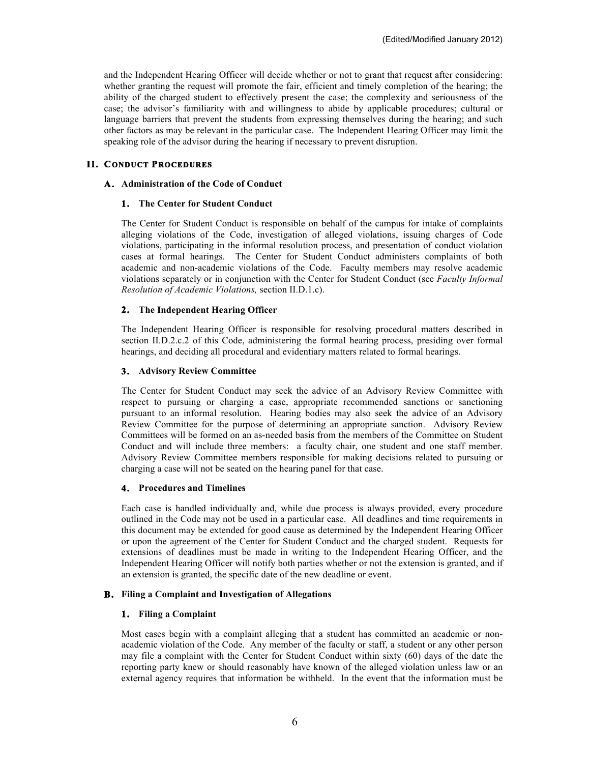and the Independent Hearing Officer will decide whether or not to grant that request after considering: whether granting the request will promote the fair, efficient and timely completion of the hearing; the ability of the charged student to effectively present the case; the complexity and seriousness of the case; the advisor's familiarity with and willingness to abide by applicable procedures; cultural or language barriers that prevent the students from expressing themselves during the hearing; and such other factors as may be relevant in the particular case. The Independent Hearing Officer may limit the speaking role of the advisor during the hearing if necessary to prevent disruption.

# **II. CONDUCT PROCEDURES**

### **A. Administration of the Code of Conduct**

### **1. The Center for Student Conduct**

The Center for Student Conduct is responsible on behalf of the campus for intake of complaints alleging violations of the Code, investigation of alleged violations, issuing charges of Code violations, participating in the informal resolution process, and presentation of conduct violation cases at formal hearings. The Center for Student Conduct administers complaints of both academic and non-academic violations of the Code. Faculty members may resolve academic violations separately or in conjunction with the Center for Student Conduct (see *Faculty Informal Resolution of Academic Violations,* section II.D.1.c).

## **2. The Independent Hearing Officer**

The Independent Hearing Officer is responsible for resolving procedural matters described in section II.D.2.c.2 of this Code, administering the formal hearing process, presiding over formal hearings, and deciding all procedural and evidentiary matters related to formal hearings.

### **3. Advisory Review Committee**

The Center for Student Conduct may seek the advice of an Advisory Review Committee with respect to pursuing or charging a case, appropriate recommended sanctions or sanctioning pursuant to an informal resolution. Hearing bodies may also seek the advice of an Advisory Review Committee for the purpose of determining an appropriate sanction. Advisory Review Committees will be formed on an as-needed basis from the members of the Committee on Student Conduct and will include three members: a faculty chair, one student and one staff member. Advisory Review Committee members responsible for making decisions related to pursuing or charging a case will not be seated on the hearing panel for that case.

#### **4. Procedures and Timelines**

Each case is handled individually and, while due process is always provided, every procedure outlined in the Code may not be used in a particular case. All deadlines and time requirements in this document may be extended for good cause as determined by the Independent Hearing Officer or upon the agreement of the Center for Student Conduct and the charged student. Requests for extensions of deadlines must be made in writing to the Independent Hearing Officer, and the Independent Hearing Officer will notify both parties whether or not the extension is granted, and if an extension is granted, the specific date of the new deadline or event.

## **B. Filing a Complaint and Investigation of Allegations**

### **1. Filing a Complaint**

Most cases begin with a complaint alleging that a student has committed an academic or nonacademic violation of the Code. Any member of the faculty or staff, a student or any other person may file a complaint with the Center for Student Conduct within sixty (60) days of the date the reporting party knew or should reasonably have known of the alleged violation unless law or an external agency requires that information be withheld. In the event that the information must be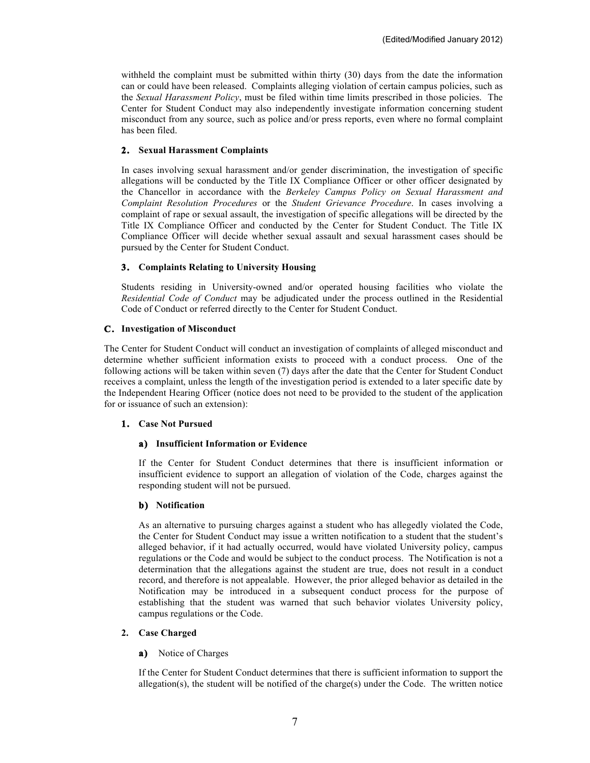withheld the complaint must be submitted within thirty (30) days from the date the information can or could have been released. Complaints alleging violation of certain campus policies, such as the *Sexual Harassment Policy*, must be filed within time limits prescribed in those policies. The Center for Student Conduct may also independently investigate information concerning student misconduct from any source, such as police and/or press reports, even where no formal complaint has been filed.

## **2. Sexual Harassment Complaints**

In cases involving sexual harassment and/or gender discrimination, the investigation of specific allegations will be conducted by the Title IX Compliance Officer or other officer designated by the Chancellor in accordance with the *Berkeley Campus Policy on Sexual Harassment and Complaint Resolution Procedures* or the *Student Grievance Procedure*. In cases involving a complaint of rape or sexual assault, the investigation of specific allegations will be directed by the Title IX Compliance Officer and conducted by the Center for Student Conduct. The Title IX Compliance Officer will decide whether sexual assault and sexual harassment cases should be pursued by the Center for Student Conduct.

# **3. Complaints Relating to University Housing**

Students residing in University-owned and/or operated housing facilities who violate the *Residential Code of Conduct* may be adjudicated under the process outlined in the Residential Code of Conduct or referred directly to the Center for Student Conduct.

## **C. Investigation of Misconduct**

The Center for Student Conduct will conduct an investigation of complaints of alleged misconduct and determine whether sufficient information exists to proceed with a conduct process. One of the following actions will be taken within seven (7) days after the date that the Center for Student Conduct receives a complaint, unless the length of the investigation period is extended to a later specific date by the Independent Hearing Officer (notice does not need to be provided to the student of the application for or issuance of such an extension):

## **1. Case Not Pursued**

## **a) Insufficient Information or Evidence**

If the Center for Student Conduct determines that there is insufficient information or insufficient evidence to support an allegation of violation of the Code, charges against the responding student will not be pursued.

## **b) Notification**

As an alternative to pursuing charges against a student who has allegedly violated the Code, the Center for Student Conduct may issue a written notification to a student that the student's alleged behavior, if it had actually occurred, would have violated University policy, campus regulations or the Code and would be subject to the conduct process. The Notification is not a determination that the allegations against the student are true, does not result in a conduct record, and therefore is not appealable. However, the prior alleged behavior as detailed in the Notification may be introduced in a subsequent conduct process for the purpose of establishing that the student was warned that such behavior violates University policy, campus regulations or the Code.

# **2. Case Charged**

## **a)** Notice of Charges

If the Center for Student Conduct determines that there is sufficient information to support the allegation(s), the student will be notified of the charge(s) under the Code. The written notice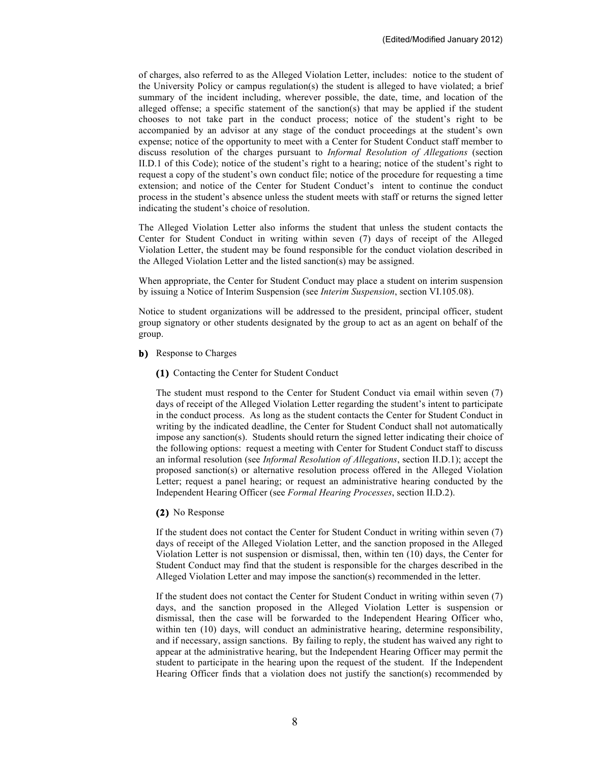of charges, also referred to as the Alleged Violation Letter, includes: notice to the student of the University Policy or campus regulation(s) the student is alleged to have violated; a brief summary of the incident including, wherever possible, the date, time, and location of the alleged offense; a specific statement of the sanction(s) that may be applied if the student chooses to not take part in the conduct process; notice of the student's right to be accompanied by an advisor at any stage of the conduct proceedings at the student's own expense; notice of the opportunity to meet with a Center for Student Conduct staff member to discuss resolution of the charges pursuant to *Informal Resolution of Allegations* (section II.D.1 of this Code); notice of the student's right to a hearing; notice of the student's right to request a copy of the student's own conduct file; notice of the procedure for requesting a time extension; and notice of the Center for Student Conduct's intent to continue the conduct process in the student's absence unless the student meets with staff or returns the signed letter indicating the student's choice of resolution.

The Alleged Violation Letter also informs the student that unless the student contacts the Center for Student Conduct in writing within seven (7) days of receipt of the Alleged Violation Letter, the student may be found responsible for the conduct violation described in the Alleged Violation Letter and the listed sanction(s) may be assigned.

When appropriate, the Center for Student Conduct may place a student on interim suspension by issuing a Notice of Interim Suspension (see *Interim Suspension*, section VI.105.08).

Notice to student organizations will be addressed to the president, principal officer, student group signatory or other students designated by the group to act as an agent on behalf of the group.

**b)** Response to Charges

**(1)** Contacting the Center for Student Conduct

The student must respond to the Center for Student Conduct via email within seven (7) days of receipt of the Alleged Violation Letter regarding the student's intent to participate in the conduct process. As long as the student contacts the Center for Student Conduct in writing by the indicated deadline, the Center for Student Conduct shall not automatically impose any sanction(s). Students should return the signed letter indicating their choice of the following options: request a meeting with Center for Student Conduct staff to discuss an informal resolution (see *Informal Resolution of Allegations*, section II.D.1); accept the proposed sanction(s) or alternative resolution process offered in the Alleged Violation Letter; request a panel hearing; or request an administrative hearing conducted by the Independent Hearing Officer (see *Formal Hearing Processes*, section II.D.2).

#### **(2)** No Response

If the student does not contact the Center for Student Conduct in writing within seven (7) days of receipt of the Alleged Violation Letter, and the sanction proposed in the Alleged Violation Letter is not suspension or dismissal, then, within ten (10) days, the Center for Student Conduct may find that the student is responsible for the charges described in the Alleged Violation Letter and may impose the sanction(s) recommended in the letter.

If the student does not contact the Center for Student Conduct in writing within seven (7) days, and the sanction proposed in the Alleged Violation Letter is suspension or dismissal, then the case will be forwarded to the Independent Hearing Officer who, within ten (10) days, will conduct an administrative hearing, determine responsibility, and if necessary, assign sanctions. By failing to reply, the student has waived any right to appear at the administrative hearing, but the Independent Hearing Officer may permit the student to participate in the hearing upon the request of the student. If the Independent Hearing Officer finds that a violation does not justify the sanction(s) recommended by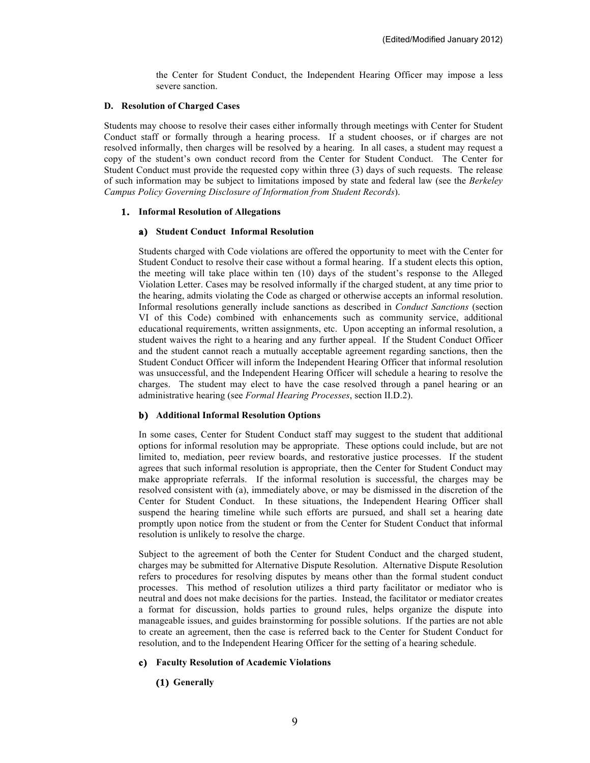the Center for Student Conduct, the Independent Hearing Officer may impose a less severe sanction.

#### **D. Resolution of Charged Cases**

Students may choose to resolve their cases either informally through meetings with Center for Student Conduct staff or formally through a hearing process. If a student chooses, or if charges are not resolved informally, then charges will be resolved by a hearing. In all cases, a student may request a copy of the student's own conduct record from the Center for Student Conduct. The Center for Student Conduct must provide the requested copy within three (3) days of such requests. The release of such information may be subject to limitations imposed by state and federal law (see the *Berkeley Campus Policy Governing Disclosure of Information from Student Records*).

### **1. Informal Resolution of Allegations**

#### **a) Student Conduct Informal Resolution**

Students charged with Code violations are offered the opportunity to meet with the Center for Student Conduct to resolve their case without a formal hearing. If a student elects this option, the meeting will take place within ten (10) days of the student's response to the Alleged Violation Letter. Cases may be resolved informally if the charged student, at any time prior to the hearing, admits violating the Code as charged or otherwise accepts an informal resolution. Informal resolutions generally include sanctions as described in *Conduct Sanctions* (section VI of this Code) combined with enhancements such as community service, additional educational requirements, written assignments, etc. Upon accepting an informal resolution, a student waives the right to a hearing and any further appeal. If the Student Conduct Officer and the student cannot reach a mutually acceptable agreement regarding sanctions, then the Student Conduct Officer will inform the Independent Hearing Officer that informal resolution was unsuccessful, and the Independent Hearing Officer will schedule a hearing to resolve the charges. The student may elect to have the case resolved through a panel hearing or an administrative hearing (see *Formal Hearing Processes*, section II.D.2).

#### **b) Additional Informal Resolution Options**

In some cases, Center for Student Conduct staff may suggest to the student that additional options for informal resolution may be appropriate. These options could include, but are not limited to, mediation, peer review boards, and restorative justice processes. If the student agrees that such informal resolution is appropriate, then the Center for Student Conduct may make appropriate referrals. If the informal resolution is successful, the charges may be resolved consistent with (a), immediately above, or may be dismissed in the discretion of the Center for Student Conduct. In these situations, the Independent Hearing Officer shall suspend the hearing timeline while such efforts are pursued, and shall set a hearing date promptly upon notice from the student or from the Center for Student Conduct that informal resolution is unlikely to resolve the charge.

Subject to the agreement of both the Center for Student Conduct and the charged student, charges may be submitted for Alternative Dispute Resolution. Alternative Dispute Resolution refers to procedures for resolving disputes by means other than the formal student conduct processes. This method of resolution utilizes a third party facilitator or mediator who is neutral and does not make decisions for the parties. Instead, the facilitator or mediator creates a format for discussion, holds parties to ground rules, helps organize the dispute into manageable issues, and guides brainstorming for possible solutions. If the parties are not able to create an agreement, then the case is referred back to the Center for Student Conduct for resolution, and to the Independent Hearing Officer for the setting of a hearing schedule.

#### **c) Faculty Resolution of Academic Violations**

### **(1) Generally**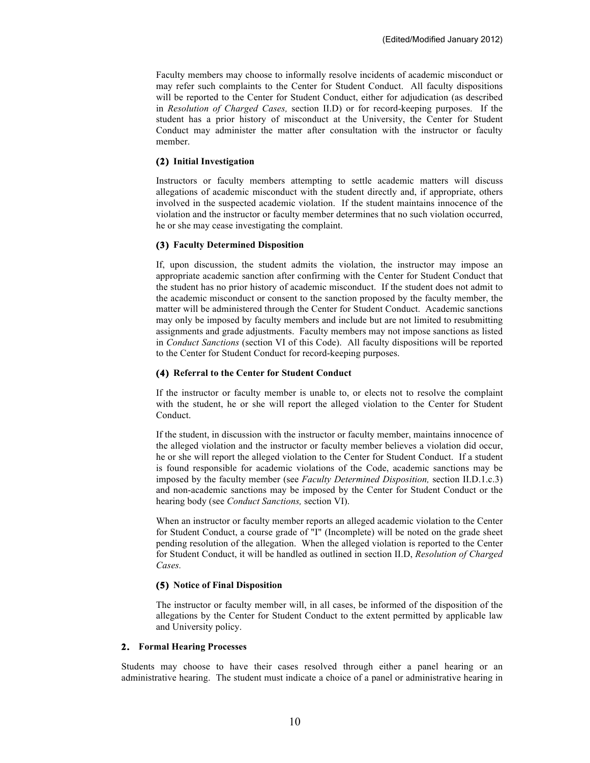Faculty members may choose to informally resolve incidents of academic misconduct or may refer such complaints to the Center for Student Conduct. All faculty dispositions will be reported to the Center for Student Conduct, either for adjudication (as described in *Resolution of Charged Cases,* section II.D) or for record-keeping purposes. If the student has a prior history of misconduct at the University, the Center for Student Conduct may administer the matter after consultation with the instructor or faculty member.

#### **(2) Initial Investigation**

Instructors or faculty members attempting to settle academic matters will discuss allegations of academic misconduct with the student directly and, if appropriate, others involved in the suspected academic violation. If the student maintains innocence of the violation and the instructor or faculty member determines that no such violation occurred, he or she may cease investigating the complaint.

#### **(3) Faculty Determined Disposition**

If, upon discussion, the student admits the violation, the instructor may impose an appropriate academic sanction after confirming with the Center for Student Conduct that the student has no prior history of academic misconduct. If the student does not admit to the academic misconduct or consent to the sanction proposed by the faculty member, the matter will be administered through the Center for Student Conduct. Academic sanctions may only be imposed by faculty members and include but are not limited to resubmitting assignments and grade adjustments. Faculty members may not impose sanctions as listed in *Conduct Sanctions* (section VI of this Code). All faculty dispositions will be reported to the Center for Student Conduct for record-keeping purposes.

#### **(4) Referral to the Center for Student Conduct**

If the instructor or faculty member is unable to, or elects not to resolve the complaint with the student, he or she will report the alleged violation to the Center for Student Conduct.

If the student, in discussion with the instructor or faculty member, maintains innocence of the alleged violation and the instructor or faculty member believes a violation did occur, he or she will report the alleged violation to the Center for Student Conduct. If a student is found responsible for academic violations of the Code, academic sanctions may be imposed by the faculty member (see *Faculty Determined Disposition,* section II.D.1.c.3) and non-academic sanctions may be imposed by the Center for Student Conduct or the hearing body (see *Conduct Sanctions,* section VI).

When an instructor or faculty member reports an alleged academic violation to the Center for Student Conduct, a course grade of "I" (Incomplete) will be noted on the grade sheet pending resolution of the allegation. When the alleged violation is reported to the Center for Student Conduct, it will be handled as outlined in section II.D, *Resolution of Charged Cases.*

#### **(5) Notice of Final Disposition**

The instructor or faculty member will, in all cases, be informed of the disposition of the allegations by the Center for Student Conduct to the extent permitted by applicable law and University policy.

#### **2. Formal Hearing Processes**

Students may choose to have their cases resolved through either a panel hearing or an administrative hearing. The student must indicate a choice of a panel or administrative hearing in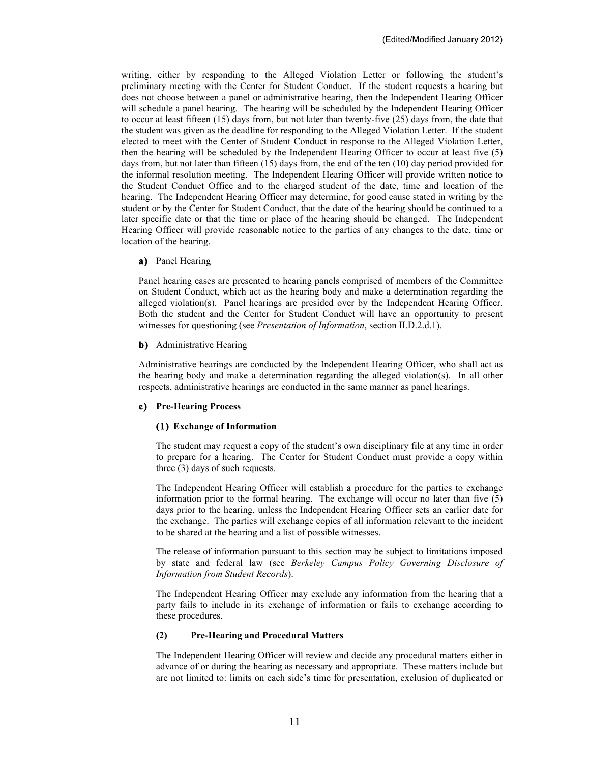writing, either by responding to the Alleged Violation Letter or following the student's preliminary meeting with the Center for Student Conduct. If the student requests a hearing but does not choose between a panel or administrative hearing, then the Independent Hearing Officer will schedule a panel hearing. The hearing will be scheduled by the Independent Hearing Officer to occur at least fifteen (15) days from, but not later than twenty-five (25) days from, the date that the student was given as the deadline for responding to the Alleged Violation Letter. If the student elected to meet with the Center of Student Conduct in response to the Alleged Violation Letter, then the hearing will be scheduled by the Independent Hearing Officer to occur at least five (5) days from, but not later than fifteen (15) days from, the end of the ten (10) day period provided for the informal resolution meeting. The Independent Hearing Officer will provide written notice to the Student Conduct Office and to the charged student of the date, time and location of the hearing. The Independent Hearing Officer may determine, for good cause stated in writing by the student or by the Center for Student Conduct, that the date of the hearing should be continued to a later specific date or that the time or place of the hearing should be changed. The Independent Hearing Officer will provide reasonable notice to the parties of any changes to the date, time or location of the hearing.

#### **a)** Panel Hearing

Panel hearing cases are presented to hearing panels comprised of members of the Committee on Student Conduct, which act as the hearing body and make a determination regarding the alleged violation(s). Panel hearings are presided over by the Independent Hearing Officer. Both the student and the Center for Student Conduct will have an opportunity to present witnesses for questioning (see *Presentation of Information*, section II.D.2.d.1).

### **b)** Administrative Hearing

Administrative hearings are conducted by the Independent Hearing Officer, who shall act as the hearing body and make a determination regarding the alleged violation(s). In all other respects, administrative hearings are conducted in the same manner as panel hearings.

## **c) Pre-Hearing Process**

## **(1) Exchange of Information**

The student may request a copy of the student's own disciplinary file at any time in order to prepare for a hearing. The Center for Student Conduct must provide a copy within three (3) days of such requests.

The Independent Hearing Officer will establish a procedure for the parties to exchange information prior to the formal hearing. The exchange will occur no later than five (5) days prior to the hearing, unless the Independent Hearing Officer sets an earlier date for the exchange. The parties will exchange copies of all information relevant to the incident to be shared at the hearing and a list of possible witnesses.

The release of information pursuant to this section may be subject to limitations imposed by state and federal law (see *Berkeley Campus Policy Governing Disclosure of Information from Student Records*).

The Independent Hearing Officer may exclude any information from the hearing that a party fails to include in its exchange of information or fails to exchange according to these procedures.

#### **(2) Pre-Hearing and Procedural Matters**

The Independent Hearing Officer will review and decide any procedural matters either in advance of or during the hearing as necessary and appropriate. These matters include but are not limited to: limits on each side's time for presentation, exclusion of duplicated or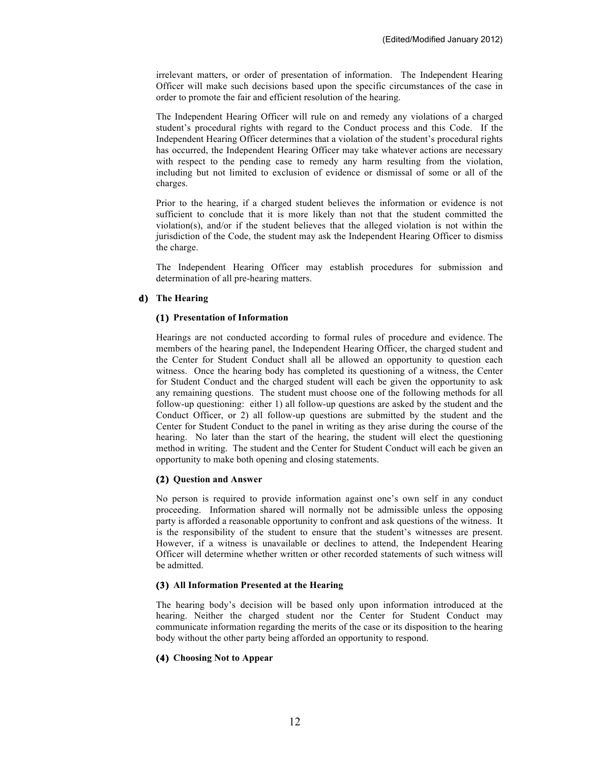irrelevant matters, or order of presentation of information. The Independent Hearing Officer will make such decisions based upon the specific circumstances of the case in order to promote the fair and efficient resolution of the hearing.

The Independent Hearing Officer will rule on and remedy any violations of a charged student's procedural rights with regard to the Conduct process and this Code. If the Independent Hearing Officer determines that a violation of the student's procedural rights has occurred, the Independent Hearing Officer may take whatever actions are necessary with respect to the pending case to remedy any harm resulting from the violation, including but not limited to exclusion of evidence or dismissal of some or all of the charges.

Prior to the hearing, if a charged student believes the information or evidence is not sufficient to conclude that it is more likely than not that the student committed the violation(s), and/or if the student believes that the alleged violation is not within the jurisdiction of the Code, the student may ask the Independent Hearing Officer to dismiss the charge.

The Independent Hearing Officer may establish procedures for submission and determination of all pre-hearing matters.

## **d) The Hearing**

#### **(1) Presentation of Information**

Hearings are not conducted according to formal rules of procedure and evidence. The members of the hearing panel, the Independent Hearing Officer, the charged student and the Center for Student Conduct shall all be allowed an opportunity to question each witness. Once the hearing body has completed its questioning of a witness, the Center for Student Conduct and the charged student will each be given the opportunity to ask any remaining questions. The student must choose one of the following methods for all follow-up questioning: either 1) all follow-up questions are asked by the student and the Conduct Officer, or 2) all follow-up questions are submitted by the student and the Center for Student Conduct to the panel in writing as they arise during the course of the hearing. No later than the start of the hearing, the student will elect the questioning method in writing. The student and the Center for Student Conduct will each be given an opportunity to make both opening and closing statements.

#### **(2) Question and Answer**

No person is required to provide information against one's own self in any conduct proceeding. Information shared will normally not be admissible unless the opposing party is afforded a reasonable opportunity to confront and ask questions of the witness. It is the responsibility of the student to ensure that the student's witnesses are present. However, if a witness is unavailable or declines to attend, the Independent Hearing Officer will determine whether written or other recorded statements of such witness will be admitted.

#### **(3) All Information Presented at the Hearing**

The hearing body's decision will be based only upon information introduced at the hearing. Neither the charged student nor the Center for Student Conduct may communicate information regarding the merits of the case or its disposition to the hearing body without the other party being afforded an opportunity to respond.

#### **(4) Choosing Not to Appear**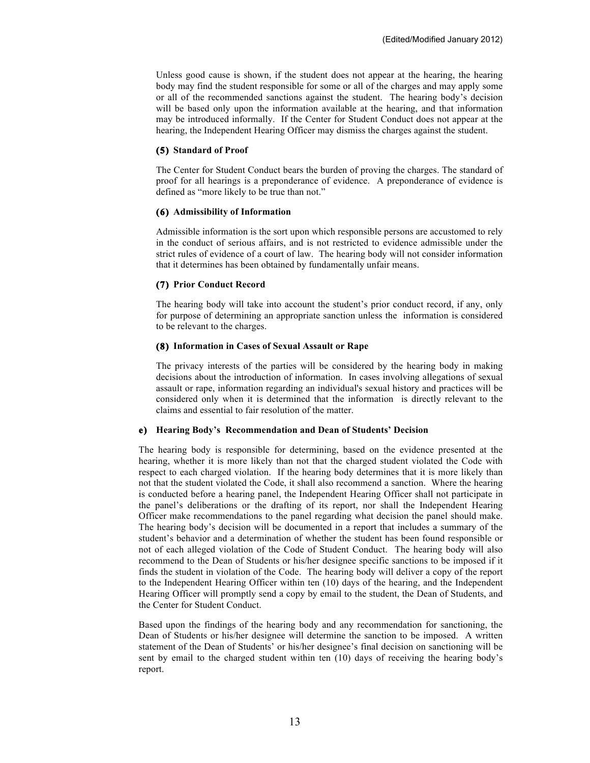Unless good cause is shown, if the student does not appear at the hearing, the hearing body may find the student responsible for some or all of the charges and may apply some or all of the recommended sanctions against the student. The hearing body's decision will be based only upon the information available at the hearing, and that information may be introduced informally. If the Center for Student Conduct does not appear at the hearing, the Independent Hearing Officer may dismiss the charges against the student.

### **(5) Standard of Proof**

The Center for Student Conduct bears the burden of proving the charges. The standard of proof for all hearings is a preponderance of evidence. A preponderance of evidence is defined as "more likely to be true than not."

## **(6) Admissibility of Information**

Admissible information is the sort upon which responsible persons are accustomed to rely in the conduct of serious affairs, and is not restricted to evidence admissible under the strict rules of evidence of a court of law. The hearing body will not consider information that it determines has been obtained by fundamentally unfair means.

## **(7) Prior Conduct Record**

The hearing body will take into account the student's prior conduct record, if any, only for purpose of determining an appropriate sanction unless the information is considered to be relevant to the charges.

## **(8) Information in Cases of Sexual Assault or Rape**

The privacy interests of the parties will be considered by the hearing body in making decisions about the introduction of information. In cases involving allegations of sexual assault or rape, information regarding an individual's sexual history and practices will be considered only when it is determined that the information is directly relevant to the claims and essential to fair resolution of the matter.

#### **e) Hearing Body's Recommendation and Dean of Students' Decision**

The hearing body is responsible for determining, based on the evidence presented at the hearing, whether it is more likely than not that the charged student violated the Code with respect to each charged violation. If the hearing body determines that it is more likely than not that the student violated the Code, it shall also recommend a sanction. Where the hearing is conducted before a hearing panel, the Independent Hearing Officer shall not participate in the panel's deliberations or the drafting of its report, nor shall the Independent Hearing Officer make recommendations to the panel regarding what decision the panel should make. The hearing body's decision will be documented in a report that includes a summary of the student's behavior and a determination of whether the student has been found responsible or not of each alleged violation of the Code of Student Conduct. The hearing body will also recommend to the Dean of Students or his/her designee specific sanctions to be imposed if it finds the student in violation of the Code. The hearing body will deliver a copy of the report to the Independent Hearing Officer within ten (10) days of the hearing, and the Independent Hearing Officer will promptly send a copy by email to the student, the Dean of Students, and the Center for Student Conduct.

Based upon the findings of the hearing body and any recommendation for sanctioning, the Dean of Students or his/her designee will determine the sanction to be imposed. A written statement of the Dean of Students' or his/her designee's final decision on sanctioning will be sent by email to the charged student within ten (10) days of receiving the hearing body's report.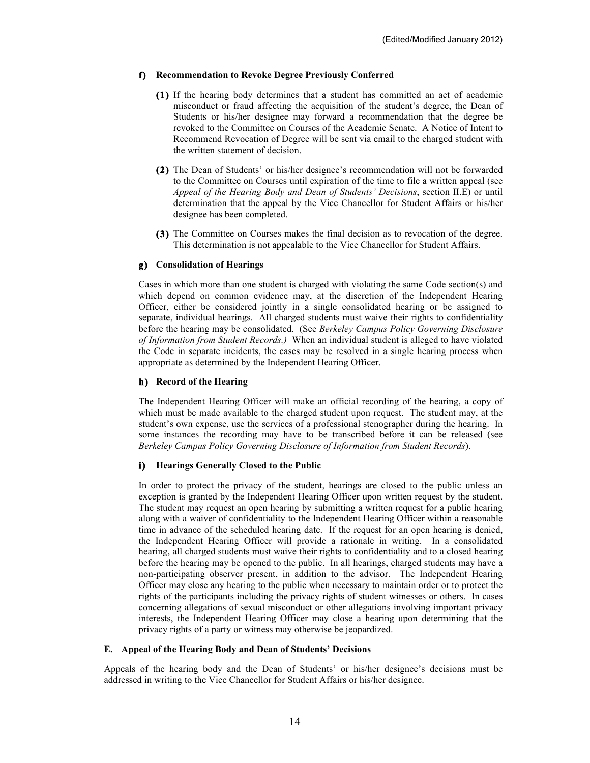## **f) Recommendation to Revoke Degree Previously Conferred**

- **(1)** If the hearing body determines that a student has committed an act of academic misconduct or fraud affecting the acquisition of the student's degree, the Dean of Students or his/her designee may forward a recommendation that the degree be revoked to the Committee on Courses of the Academic Senate. A Notice of Intent to Recommend Revocation of Degree will be sent via email to the charged student with the written statement of decision.
- **(2)** The Dean of Students' or his/her designee's recommendation will not be forwarded to the Committee on Courses until expiration of the time to file a written appeal (see *Appeal of the Hearing Body and Dean of Students' Decisions*, section II.E) or until determination that the appeal by the Vice Chancellor for Student Affairs or his/her designee has been completed.
- **(3)** The Committee on Courses makes the final decision as to revocation of the degree. This determination is not appealable to the Vice Chancellor for Student Affairs.

#### **g) Consolidation of Hearings**

Cases in which more than one student is charged with violating the same Code section(s) and which depend on common evidence may, at the discretion of the Independent Hearing Officer, either be considered jointly in a single consolidated hearing or be assigned to separate, individual hearings. All charged students must waive their rights to confidentiality before the hearing may be consolidated. (See *Berkeley Campus Policy Governing Disclosure of Information from Student Records.)* When an individual student is alleged to have violated the Code in separate incidents, the cases may be resolved in a single hearing process when appropriate as determined by the Independent Hearing Officer.

### **h) Record of the Hearing**

The Independent Hearing Officer will make an official recording of the hearing, a copy of which must be made available to the charged student upon request. The student may, at the student's own expense, use the services of a professional stenographer during the hearing. In some instances the recording may have to be transcribed before it can be released (see *Berkeley Campus Policy Governing Disclosure of Information from Student Records*).

## **i) Hearings Generally Closed to the Public**

In order to protect the privacy of the student, hearings are closed to the public unless an exception is granted by the Independent Hearing Officer upon written request by the student. The student may request an open hearing by submitting a written request for a public hearing along with a waiver of confidentiality to the Independent Hearing Officer within a reasonable time in advance of the scheduled hearing date. If the request for an open hearing is denied, the Independent Hearing Officer will provide a rationale in writing. In a consolidated hearing, all charged students must waive their rights to confidentiality and to a closed hearing before the hearing may be opened to the public. In all hearings, charged students may have a non-participating observer present, in addition to the advisor. The Independent Hearing Officer may close any hearing to the public when necessary to maintain order or to protect the rights of the participants including the privacy rights of student witnesses or others. In cases concerning allegations of sexual misconduct or other allegations involving important privacy interests, the Independent Hearing Officer may close a hearing upon determining that the privacy rights of a party or witness may otherwise be jeopardized.

#### **E. Appeal of the Hearing Body and Dean of Students' Decisions**

Appeals of the hearing body and the Dean of Students' or his/her designee's decisions must be addressed in writing to the Vice Chancellor for Student Affairs or his/her designee.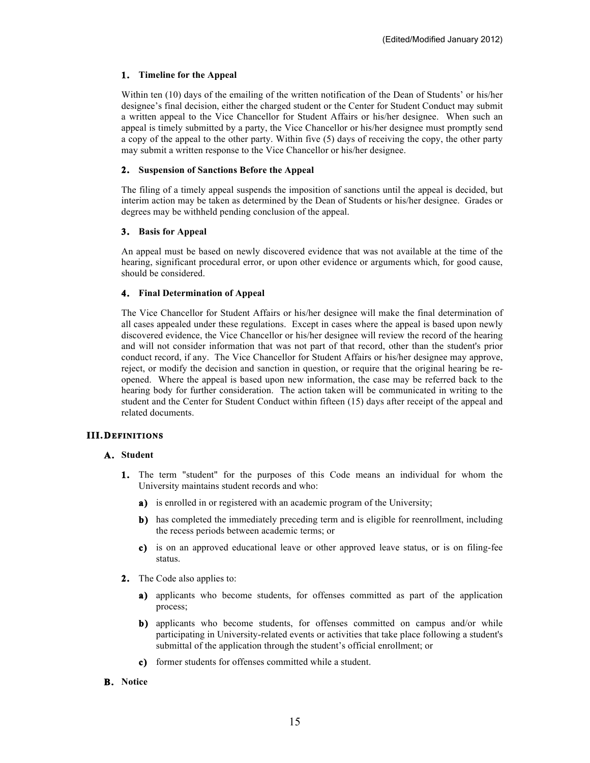## **1. Timeline for the Appeal**

Within ten (10) days of the emailing of the written notification of the Dean of Students' or his/her designee's final decision, either the charged student or the Center for Student Conduct may submit a written appeal to the Vice Chancellor for Student Affairs or his/her designee. When such an appeal is timely submitted by a party, the Vice Chancellor or his/her designee must promptly send a copy of the appeal to the other party. Within five (5) days of receiving the copy, the other party may submit a written response to the Vice Chancellor or his/her designee.

# **2. Suspension of Sanctions Before the Appeal**

The filing of a timely appeal suspends the imposition of sanctions until the appeal is decided, but interim action may be taken as determined by the Dean of Students or his/her designee. Grades or degrees may be withheld pending conclusion of the appeal.

# **3. Basis for Appeal**

An appeal must be based on newly discovered evidence that was not available at the time of the hearing, significant procedural error, or upon other evidence or arguments which, for good cause, should be considered.

# **4. Final Determination of Appeal**

The Vice Chancellor for Student Affairs or his/her designee will make the final determination of all cases appealed under these regulations. Except in cases where the appeal is based upon newly discovered evidence, the Vice Chancellor or his/her designee will review the record of the hearing and will not consider information that was not part of that record, other than the student's prior conduct record, if any. The Vice Chancellor for Student Affairs or his/her designee may approve, reject, or modify the decision and sanction in question, or require that the original hearing be reopened. Where the appeal is based upon new information, the case may be referred back to the hearing body for further consideration. The action taken will be communicated in writing to the student and the Center for Student Conduct within fifteen (15) days after receipt of the appeal and related documents.

# **III.DEFINITIONS**

## **A. Student**

- **1.** The term "student" for the purposes of this Code means an individual for whom the University maintains student records and who:
	- **a)** is enrolled in or registered with an academic program of the University;
	- **b)** has completed the immediately preceding term and is eligible for reenrollment, including the recess periods between academic terms; or
	- **c)** is on an approved educational leave or other approved leave status, or is on filing-fee status.
- **2.** The Code also applies to:
	- **a)** applicants who become students, for offenses committed as part of the application process;
	- **b)** applicants who become students, for offenses committed on campus and/or while participating in University-related events or activities that take place following a student's submittal of the application through the student's official enrollment; or
	- **c)** former students for offenses committed while a student.
- **B. Notice**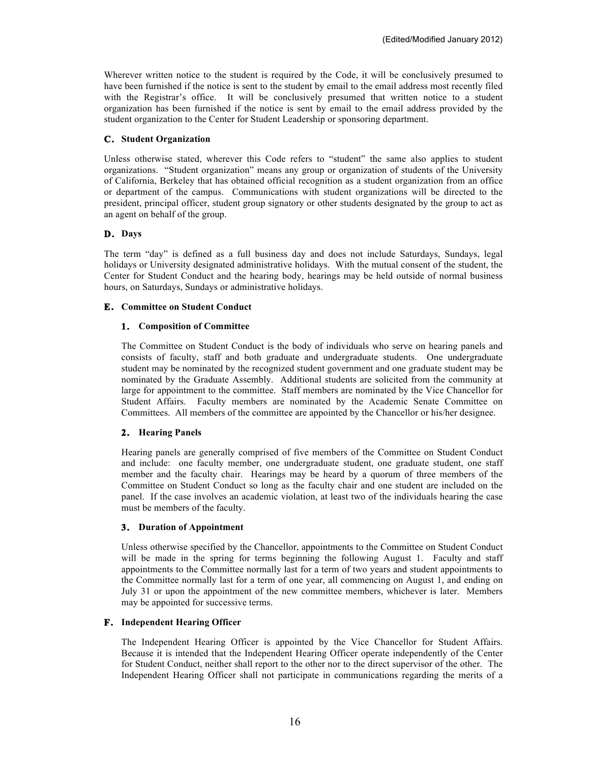Wherever written notice to the student is required by the Code, it will be conclusively presumed to have been furnished if the notice is sent to the student by email to the email address most recently filed with the Registrar's office. It will be conclusively presumed that written notice to a student organization has been furnished if the notice is sent by email to the email address provided by the student organization to the Center for Student Leadership or sponsoring department.

### **C. Student Organization**

Unless otherwise stated, wherever this Code refers to "student" the same also applies to student organizations. "Student organization" means any group or organization of students of the University of California, Berkeley that has obtained official recognition as a student organization from an office or department of the campus. Communications with student organizations will be directed to the president, principal officer, student group signatory or other students designated by the group to act as an agent on behalf of the group.

## **D. Days**

The term "day" is defined as a full business day and does not include Saturdays, Sundays, legal holidays or University designated administrative holidays. With the mutual consent of the student, the Center for Student Conduct and the hearing body, hearings may be held outside of normal business hours, on Saturdays, Sundays or administrative holidays.

### **E. Committee on Student Conduct**

## **1. Composition of Committee**

The Committee on Student Conduct is the body of individuals who serve on hearing panels and consists of faculty, staff and both graduate and undergraduate students. One undergraduate student may be nominated by the recognized student government and one graduate student may be nominated by the Graduate Assembly. Additional students are solicited from the community at large for appointment to the committee. Staff members are nominated by the Vice Chancellor for Student Affairs. Faculty members are nominated by the Academic Senate Committee on Committees. All members of the committee are appointed by the Chancellor or his/her designee.

#### **2. Hearing Panels**

Hearing panels are generally comprised of five members of the Committee on Student Conduct and include: one faculty member, one undergraduate student, one graduate student, one staff member and the faculty chair. Hearings may be heard by a quorum of three members of the Committee on Student Conduct so long as the faculty chair and one student are included on the panel. If the case involves an academic violation, at least two of the individuals hearing the case must be members of the faculty.

#### **3. Duration of Appointment**

Unless otherwise specified by the Chancellor, appointments to the Committee on Student Conduct will be made in the spring for terms beginning the following August 1. Faculty and staff appointments to the Committee normally last for a term of two years and student appointments to the Committee normally last for a term of one year, all commencing on August 1, and ending on July 31 or upon the appointment of the new committee members, whichever is later. Members may be appointed for successive terms.

## **F. Independent Hearing Officer**

The Independent Hearing Officer is appointed by the Vice Chancellor for Student Affairs. Because it is intended that the Independent Hearing Officer operate independently of the Center for Student Conduct, neither shall report to the other nor to the direct supervisor of the other. The Independent Hearing Officer shall not participate in communications regarding the merits of a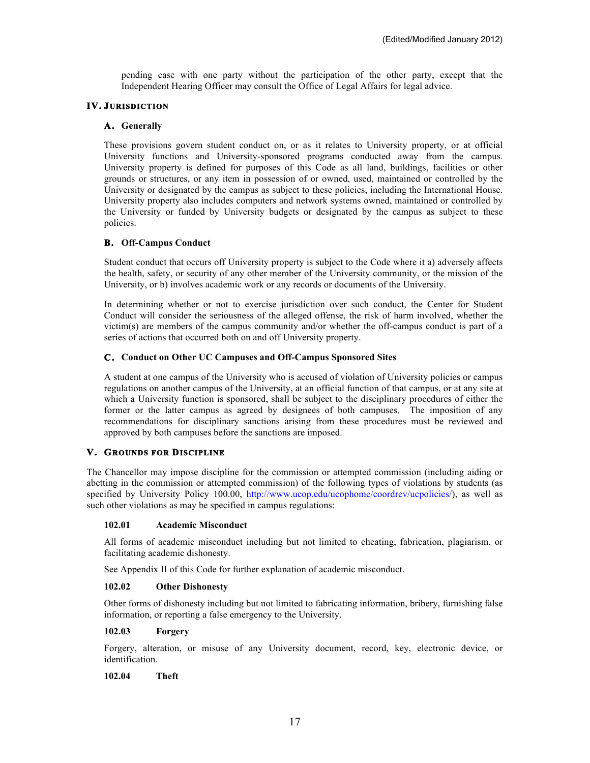pending case with one party without the participation of the other party, except that the Independent Hearing Officer may consult the Office of Legal Affairs for legal advice.

## **IV. JURISDICTION**

### **A. Generally**

These provisions govern student conduct on, or as it relates to University property, or at official University functions and University-sponsored programs conducted away from the campus. University property is defined for purposes of this Code as all land, buildings, facilities or other grounds or structures, or any item in possession of or owned, used, maintained or controlled by the University or designated by the campus as subject to these policies, including the International House. University property also includes computers and network systems owned, maintained or controlled by the University or funded by University budgets or designated by the campus as subject to these policies.

### **B. Off-Campus Conduct**

Student conduct that occurs off University property is subject to the Code where it a) adversely affects the health, safety, or security of any other member of the University community, or the mission of the University, or b) involves academic work or any records or documents of the University.

In determining whether or not to exercise jurisdiction over such conduct, the Center for Student Conduct will consider the seriousness of the alleged offense, the risk of harm involved, whether the victim(s) are members of the campus community and/or whether the off-campus conduct is part of a series of actions that occurred both on and off University property.

### **C. Conduct on Other UC Campuses and Off-Campus Sponsored Sites**

A student at one campus of the University who is accused of violation of University policies or campus regulations on another campus of the University, at an official function of that campus, or at any site at which a University function is sponsored, shall be subject to the disciplinary procedures of either the former or the latter campus as agreed by designees of both campuses. The imposition of any recommendations for disciplinary sanctions arising from these procedures must be reviewed and approved by both campuses before the sanctions are imposed.

## **V. GROUNDS FOR DISCIPLINE**

The Chancellor may impose discipline for the commission or attempted commission (including aiding or abetting in the commission or attempted commission) of the following types of violations by students (as specified by University Policy 100.00, http://www.ucop.edu/ucophome/coordrev/ucpolicies/), as well as such other violations as may be specified in campus regulations:

### **102.01 Academic Misconduct**

All forms of academic misconduct including but not limited to cheating, fabrication, plagiarism, or facilitating academic dishonesty.

See Appendix II of this Code for further explanation of academic misconduct.

### **102.02 Other Dishonesty**

Other forms of dishonesty including but not limited to fabricating information, bribery, furnishing false information, or reporting a false emergency to the University.

### **102.03 Forgery**

Forgery, alteration, or misuse of any University document, record, key, electronic device, or identification.

#### **102.04 Theft**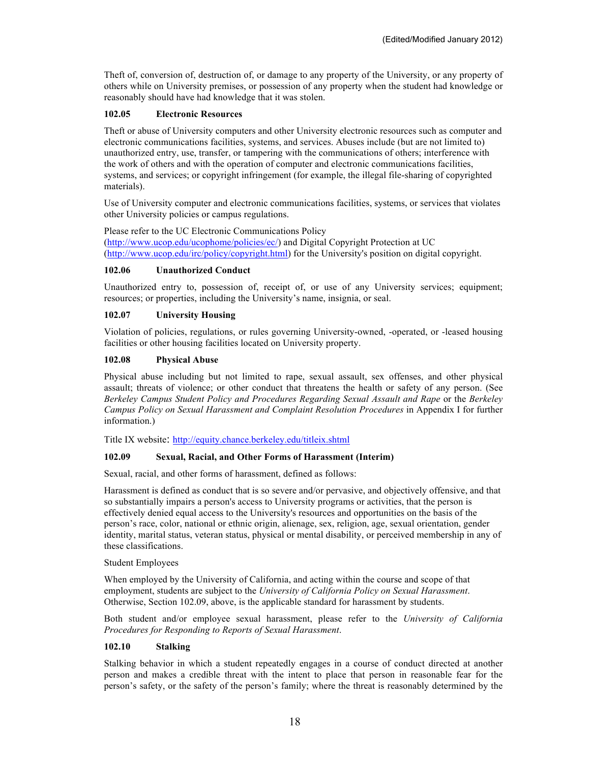Theft of, conversion of, destruction of, or damage to any property of the University, or any property of others while on University premises, or possession of any property when the student had knowledge or reasonably should have had knowledge that it was stolen.

### **102.05 Electronic Resources**

Theft or abuse of University computers and other University electronic resources such as computer and electronic communications facilities, systems, and services. Abuses include (but are not limited to) unauthorized entry, use, transfer, or tampering with the communications of others; interference with the work of others and with the operation of computer and electronic communications facilities, systems, and services; or copyright infringement (for example, the illegal file-sharing of copyrighted materials).

Use of University computer and electronic communications facilities, systems, or services that violates other University policies or campus regulations.

Please refer to the UC Electronic Communications Policy (http://www.ucop.edu/ucophome/policies/ec/) and Digital Copyright Protection at UC (http://www.ucop.edu/irc/policy/copyright.html) for the University's position on digital copyright.

### **102.06 Unauthorized Conduct**

Unauthorized entry to, possession of, receipt of, or use of any University services; equipment; resources; or properties, including the University's name, insignia, or seal.

### **102.07 University Housing**

Violation of policies, regulations, or rules governing University-owned, -operated, or -leased housing facilities or other housing facilities located on University property.

#### **102.08 Physical Abuse**

Physical abuse including but not limited to rape, sexual assault, sex offenses, and other physical assault; threats of violence; or other conduct that threatens the health or safety of any person. (See *Berkeley Campus Student Policy and Procedures Regarding Sexual Assault and Rape* or the *Berkeley Campus Policy on Sexual Harassment and Complaint Resolution Procedures* in Appendix I for further information.)

Title IX website: http://equity.chance.berkeley.edu/titleix.shtml

### **102.09 Sexual, Racial, and Other Forms of Harassment (Interim)**

Sexual, racial, and other forms of harassment, defined as follows:

Harassment is defined as conduct that is so severe and/or pervasive, and objectively offensive, and that so substantially impairs a person's access to University programs or activities, that the person is effectively denied equal access to the University's resources and opportunities on the basis of the person's race, color, national or ethnic origin, alienage, sex, religion, age, sexual orientation, gender identity, marital status, veteran status, physical or mental disability, or perceived membership in any of these classifications.

#### Student Employees

When employed by the University of California, and acting within the course and scope of that employment, students are subject to the *University of California Policy on Sexual Harassment*. Otherwise, Section 102.09, above, is the applicable standard for harassment by students.

Both student and/or employee sexual harassment, please refer to the *University of California Procedures for Responding to Reports of Sexual Harassment*.

## **102.10 Stalking**

Stalking behavior in which a student repeatedly engages in a course of conduct directed at another person and makes a credible threat with the intent to place that person in reasonable fear for the person's safety, or the safety of the person's family; where the threat is reasonably determined by the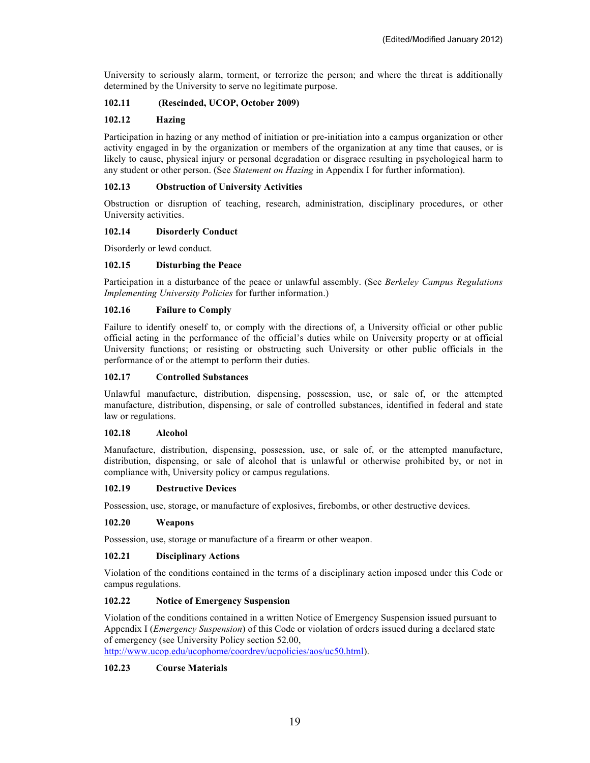University to seriously alarm, torment, or terrorize the person; and where the threat is additionally determined by the University to serve no legitimate purpose.

## **102.11 (Rescinded, UCOP, October 2009)**

### **102.12 Hazing**

Participation in hazing or any method of initiation or pre-initiation into a campus organization or other activity engaged in by the organization or members of the organization at any time that causes, or is likely to cause, physical injury or personal degradation or disgrace resulting in psychological harm to any student or other person. (See *Statement on Hazing* in Appendix I for further information).

### **102.13 Obstruction of University Activities**

Obstruction or disruption of teaching, research, administration, disciplinary procedures, or other University activities.

#### **102.14 Disorderly Conduct**

Disorderly or lewd conduct.

### **102.15 Disturbing the Peace**

Participation in a disturbance of the peace or unlawful assembly. (See *Berkeley Campus Regulations Implementing University Policies* for further information.)

#### **102.16 Failure to Comply**

Failure to identify oneself to, or comply with the directions of, a University official or other public official acting in the performance of the official's duties while on University property or at official University functions; or resisting or obstructing such University or other public officials in the performance of or the attempt to perform their duties.

#### **102.17 Controlled Substances**

Unlawful manufacture, distribution, dispensing, possession, use, or sale of, or the attempted manufacture, distribution, dispensing, or sale of controlled substances, identified in federal and state law or regulations.

#### **102.18 Alcohol**

Manufacture, distribution, dispensing, possession, use, or sale of, or the attempted manufacture, distribution, dispensing, or sale of alcohol that is unlawful or otherwise prohibited by, or not in compliance with, University policy or campus regulations.

#### **102.19 Destructive Devices**

Possession, use, storage, or manufacture of explosives, firebombs, or other destructive devices.

#### **102.20 Weapons**

Possession, use, storage or manufacture of a firearm or other weapon.

### **102.21 Disciplinary Actions**

Violation of the conditions contained in the terms of a disciplinary action imposed under this Code or campus regulations.

#### **102.22 Notice of Emergency Suspension**

Violation of the conditions contained in a written Notice of Emergency Suspension issued pursuant to Appendix I (*Emergency Suspension*) of this Code or violation of orders issued during a declared state of emergency (see University Policy section 52.00,

http://www.ucop.edu/ucophome/coordrev/ucpolicies/aos/uc50.html).

## **102.23 Course Materials**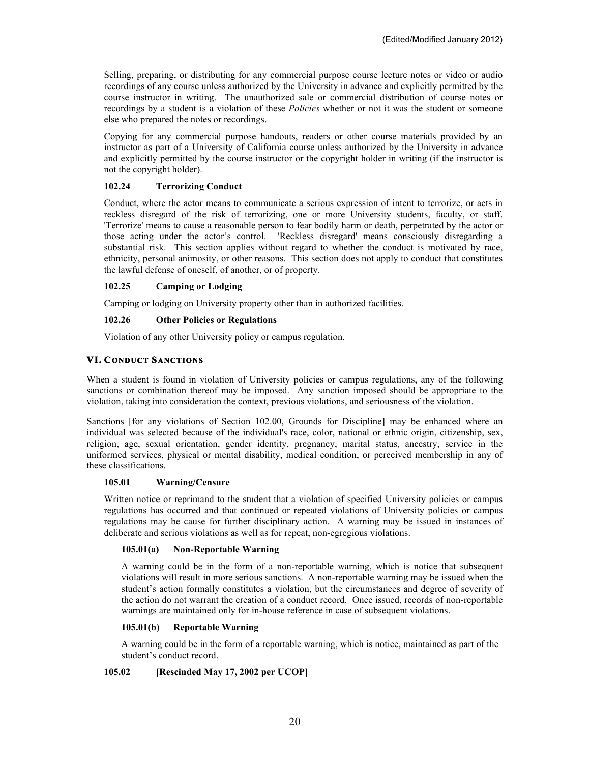Selling, preparing, or distributing for any commercial purpose course lecture notes or video or audio recordings of any course unless authorized by the University in advance and explicitly permitted by the course instructor in writing. The unauthorized sale or commercial distribution of course notes or recordings by a student is a violation of these *Policies* whether or not it was the student or someone else who prepared the notes or recordings.

Copying for any commercial purpose handouts, readers or other course materials provided by an instructor as part of a University of California course unless authorized by the University in advance and explicitly permitted by the course instructor or the copyright holder in writing (if the instructor is not the copyright holder).

## **102.24 Terrorizing Conduct**

Conduct, where the actor means to communicate a serious expression of intent to terrorize, or acts in reckless disregard of the risk of terrorizing, one or more University students, faculty, or staff. 'Terrorize' means to cause a reasonable person to fear bodily harm or death, perpetrated by the actor or those acting under the actor's control. 'Reckless disregard' means consciously disregarding a substantial risk. This section applies without regard to whether the conduct is motivated by race, ethnicity, personal animosity, or other reasons. This section does not apply to conduct that constitutes the lawful defense of oneself, of another, or of property.

## **102.25 Camping or Lodging**

Camping or lodging on University property other than in authorized facilities.

### **102.26 Other Policies or Regulations**

Violation of any other University policy or campus regulation.

# **VI. CONDUCT SANCTIONS**

When a student is found in violation of University policies or campus regulations, any of the following sanctions or combination thereof may be imposed. Any sanction imposed should be appropriate to the violation, taking into consideration the context, previous violations, and seriousness of the violation.

Sanctions [for any violations of Section 102.00, Grounds for Discipline] may be enhanced where an individual was selected because of the individual's race, color, national or ethnic origin, citizenship, sex, religion, age, sexual orientation, gender identity, pregnancy, marital status, ancestry, service in the uniformed services, physical or mental disability, medical condition, or perceived membership in any of these classifications.

### **105.01 Warning/Censure**

Written notice or reprimand to the student that a violation of specified University policies or campus regulations has occurred and that continued or repeated violations of University policies or campus regulations may be cause for further disciplinary action. A warning may be issued in instances of deliberate and serious violations as well as for repeat, non-egregious violations.

#### **105.01(a) Non-Reportable Warning**

A warning could be in the form of a non-reportable warning, which is notice that subsequent violations will result in more serious sanctions. A non-reportable warning may be issued when the student's action formally constitutes a violation, but the circumstances and degree of severity of the action do not warrant the creation of a conduct record. Once issued, records of non-reportable warnings are maintained only for in-house reference in case of subsequent violations.

#### **105.01(b) Reportable Warning**

A warning could be in the form of a reportable warning, which is notice, maintained as part of the student's conduct record.

## **105.02 [Rescinded May 17, 2002 per UCOP]**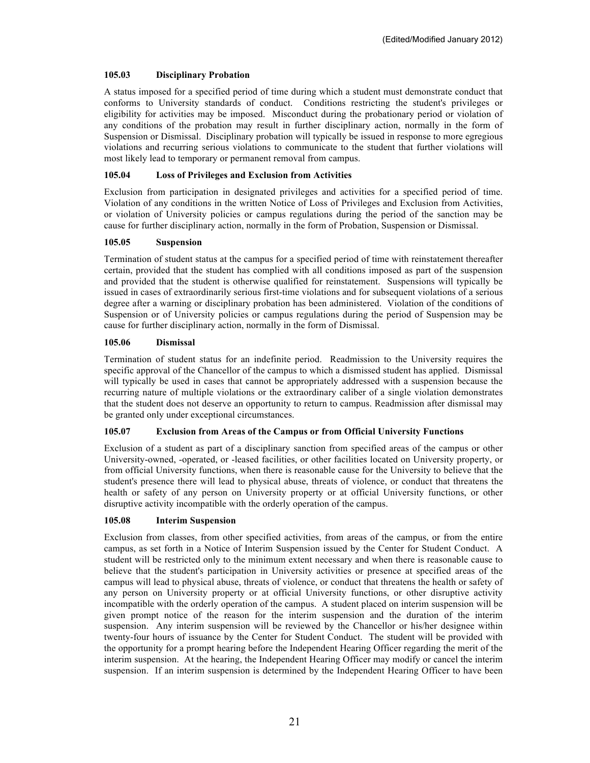## **105.03 Disciplinary Probation**

A status imposed for a specified period of time during which a student must demonstrate conduct that conforms to University standards of conduct. Conditions restricting the student's privileges or eligibility for activities may be imposed. Misconduct during the probationary period or violation of any conditions of the probation may result in further disciplinary action, normally in the form of Suspension or Dismissal. Disciplinary probation will typically be issued in response to more egregious violations and recurring serious violations to communicate to the student that further violations will most likely lead to temporary or permanent removal from campus.

# **105.04 Loss of Privileges and Exclusion from Activities**

Exclusion from participation in designated privileges and activities for a specified period of time. Violation of any conditions in the written Notice of Loss of Privileges and Exclusion from Activities, or violation of University policies or campus regulations during the period of the sanction may be cause for further disciplinary action, normally in the form of Probation, Suspension or Dismissal.

### **105.05 Suspension**

Termination of student status at the campus for a specified period of time with reinstatement thereafter certain, provided that the student has complied with all conditions imposed as part of the suspension and provided that the student is otherwise qualified for reinstatement. Suspensions will typically be issued in cases of extraordinarily serious first-time violations and for subsequent violations of a serious degree after a warning or disciplinary probation has been administered. Violation of the conditions of Suspension or of University policies or campus regulations during the period of Suspension may be cause for further disciplinary action, normally in the form of Dismissal.

## **105.06 Dismissal**

Termination of student status for an indefinite period. Readmission to the University requires the specific approval of the Chancellor of the campus to which a dismissed student has applied. Dismissal will typically be used in cases that cannot be appropriately addressed with a suspension because the recurring nature of multiple violations or the extraordinary caliber of a single violation demonstrates that the student does not deserve an opportunity to return to campus. Readmission after dismissal may be granted only under exceptional circumstances.

## **105.07 Exclusion from Areas of the Campus or from Official University Functions**

Exclusion of a student as part of a disciplinary sanction from specified areas of the campus or other University-owned, -operated, or -leased facilities, or other facilities located on University property, or from official University functions, when there is reasonable cause for the University to believe that the student's presence there will lead to physical abuse, threats of violence, or conduct that threatens the health or safety of any person on University property or at official University functions, or other disruptive activity incompatible with the orderly operation of the campus.

## **105.08 Interim Suspension**

Exclusion from classes, from other specified activities, from areas of the campus, or from the entire campus, as set forth in a Notice of Interim Suspension issued by the Center for Student Conduct. A student will be restricted only to the minimum extent necessary and when there is reasonable cause to believe that the student's participation in University activities or presence at specified areas of the campus will lead to physical abuse, threats of violence, or conduct that threatens the health or safety of any person on University property or at official University functions, or other disruptive activity incompatible with the orderly operation of the campus. A student placed on interim suspension will be given prompt notice of the reason for the interim suspension and the duration of the interim suspension. Any interim suspension will be reviewed by the Chancellor or his/her designee within twenty-four hours of issuance by the Center for Student Conduct. The student will be provided with the opportunity for a prompt hearing before the Independent Hearing Officer regarding the merit of the interim suspension. At the hearing, the Independent Hearing Officer may modify or cancel the interim suspension. If an interim suspension is determined by the Independent Hearing Officer to have been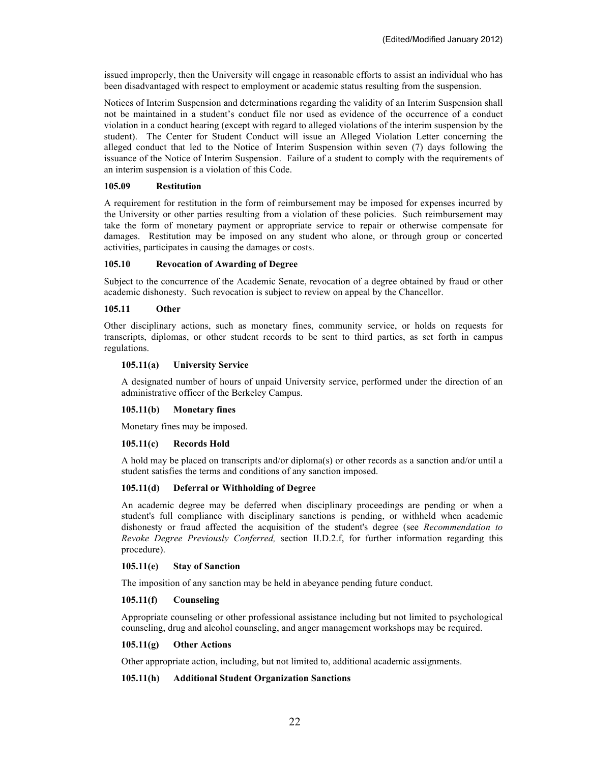issued improperly, then the University will engage in reasonable efforts to assist an individual who has been disadvantaged with respect to employment or academic status resulting from the suspension.

Notices of Interim Suspension and determinations regarding the validity of an Interim Suspension shall not be maintained in a student's conduct file nor used as evidence of the occurrence of a conduct violation in a conduct hearing (except with regard to alleged violations of the interim suspension by the student). The Center for Student Conduct will issue an Alleged Violation Letter concerning the alleged conduct that led to the Notice of Interim Suspension within seven (7) days following the issuance of the Notice of Interim Suspension. Failure of a student to comply with the requirements of an interim suspension is a violation of this Code.

### **105.09 Restitution**

A requirement for restitution in the form of reimbursement may be imposed for expenses incurred by the University or other parties resulting from a violation of these policies. Such reimbursement may take the form of monetary payment or appropriate service to repair or otherwise compensate for damages. Restitution may be imposed on any student who alone, or through group or concerted activities, participates in causing the damages or costs.

### **105.10 Revocation of Awarding of Degree**

Subject to the concurrence of the Academic Senate, revocation of a degree obtained by fraud or other academic dishonesty. Such revocation is subject to review on appeal by the Chancellor.

#### **105.11 Other**

Other disciplinary actions, such as monetary fines, community service, or holds on requests for transcripts, diplomas, or other student records to be sent to third parties, as set forth in campus regulations.

### **105.11(a) University Service**

A designated number of hours of unpaid University service, performed under the direction of an administrative officer of the Berkeley Campus.

#### **105.11(b) Monetary fines**

Monetary fines may be imposed.

## **105.11(c) Records Hold**

A hold may be placed on transcripts and/or diploma(s) or other records as a sanction and/or until a student satisfies the terms and conditions of any sanction imposed.

#### **105.11(d) Deferral or Withholding of Degree**

An academic degree may be deferred when disciplinary proceedings are pending or when a student's full compliance with disciplinary sanctions is pending, or withheld when academic dishonesty or fraud affected the acquisition of the student's degree (see *Recommendation to Revoke Degree Previously Conferred,* section II.D.2.f, for further information regarding this procedure).

#### **105.11(e) Stay of Sanction**

The imposition of any sanction may be held in abeyance pending future conduct.

#### **105.11(f) Counseling**

Appropriate counseling or other professional assistance including but not limited to psychological counseling, drug and alcohol counseling, and anger management workshops may be required.

#### **105.11(g) Other Actions**

Other appropriate action, including, but not limited to, additional academic assignments.

## **105.11(h) Additional Student Organization Sanctions**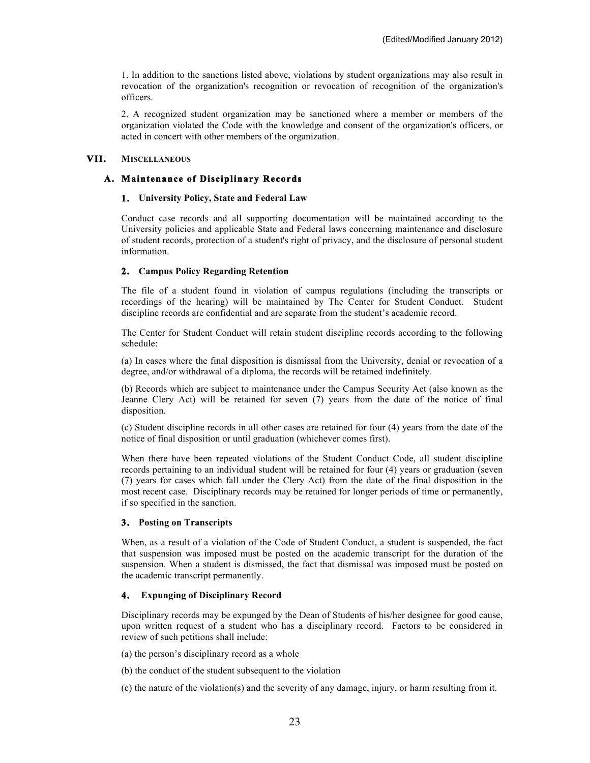1. In addition to the sanctions listed above, violations by student organizations may also result in revocation of the organization's recognition or revocation of recognition of the organization's officers.

2. A recognized student organization may be sanctioned where a member or members of the organization violated the Code with the knowledge and consent of the organization's officers, or acted in concert with other members of the organization.

# **VII. MISCELLANEOUS**

# **A. Maintenance of Disciplinary Records**

## **1. University Policy, State and Federal Law**

Conduct case records and all supporting documentation will be maintained according to the University policies and applicable State and Federal laws concerning maintenance and disclosure of student records, protection of a student's right of privacy, and the disclosure of personal student information.

### **2. Campus Policy Regarding Retention**

The file of a student found in violation of campus regulations (including the transcripts or recordings of the hearing) will be maintained by The Center for Student Conduct. Student discipline records are confidential and are separate from the student's academic record.

The Center for Student Conduct will retain student discipline records according to the following schedule:

(a) In cases where the final disposition is dismissal from the University, denial or revocation of a degree, and/or withdrawal of a diploma, the records will be retained indefinitely.

(b) Records which are subject to maintenance under the Campus Security Act (also known as the Jeanne Clery Act) will be retained for seven (7) years from the date of the notice of final disposition.

(c) Student discipline records in all other cases are retained for four (4) years from the date of the notice of final disposition or until graduation (whichever comes first).

When there have been repeated violations of the Student Conduct Code, all student discipline records pertaining to an individual student will be retained for four (4) years or graduation (seven (7) years for cases which fall under the Clery Act) from the date of the final disposition in the most recent case. Disciplinary records may be retained for longer periods of time or permanently, if so specified in the sanction.

## **3. Posting on Transcripts**

When, as a result of a violation of the Code of Student Conduct, a student is suspended, the fact that suspension was imposed must be posted on the academic transcript for the duration of the suspension. When a student is dismissed, the fact that dismissal was imposed must be posted on the academic transcript permanently.

## **4. Expunging of Disciplinary Record**

Disciplinary records may be expunged by the Dean of Students of his/her designee for good cause, upon written request of a student who has a disciplinary record. Factors to be considered in review of such petitions shall include:

(a) the person's disciplinary record as a whole

(b) the conduct of the student subsequent to the violation

(c) the nature of the violation(s) and the severity of any damage, injury, or harm resulting from it.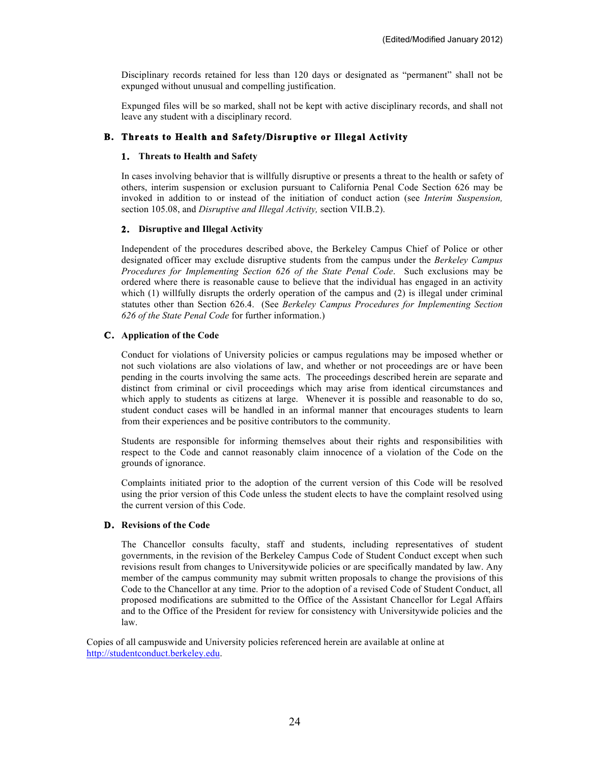Disciplinary records retained for less than 120 days or designated as "permanent" shall not be expunged without unusual and compelling justification.

Expunged files will be so marked, shall not be kept with active disciplinary records, and shall not leave any student with a disciplinary record.

# **B. Threats to Health and Safety/Disruptive or Illegal Activity**

### **1. Threats to Health and Safety**

In cases involving behavior that is willfully disruptive or presents a threat to the health or safety of others, interim suspension or exclusion pursuant to California Penal Code Section 626 may be invoked in addition to or instead of the initiation of conduct action (see *Interim Suspension,* section 105.08, and *Disruptive and Illegal Activity,* section VII.B.2).

### **2. Disruptive and Illegal Activity**

Independent of the procedures described above, the Berkeley Campus Chief of Police or other designated officer may exclude disruptive students from the campus under the *Berkeley Campus Procedures for Implementing Section 626 of the State Penal Code*. Such exclusions may be ordered where there is reasonable cause to believe that the individual has engaged in an activity which (1) willfully disrupts the orderly operation of the campus and (2) is illegal under criminal statutes other than Section 626.4. (See *Berkeley Campus Procedures for Implementing Section 626 of the State Penal Code* for further information.)

### **C. Application of the Code**

Conduct for violations of University policies or campus regulations may be imposed whether or not such violations are also violations of law, and whether or not proceedings are or have been pending in the courts involving the same acts. The proceedings described herein are separate and distinct from criminal or civil proceedings which may arise from identical circumstances and which apply to students as citizens at large. Whenever it is possible and reasonable to do so, student conduct cases will be handled in an informal manner that encourages students to learn from their experiences and be positive contributors to the community.

Students are responsible for informing themselves about their rights and responsibilities with respect to the Code and cannot reasonably claim innocence of a violation of the Code on the grounds of ignorance.

Complaints initiated prior to the adoption of the current version of this Code will be resolved using the prior version of this Code unless the student elects to have the complaint resolved using the current version of this Code.

### **D. Revisions of the Code**

The Chancellor consults faculty, staff and students, including representatives of student governments, in the revision of the Berkeley Campus Code of Student Conduct except when such revisions result from changes to Universitywide policies or are specifically mandated by law. Any member of the campus community may submit written proposals to change the provisions of this Code to the Chancellor at any time. Prior to the adoption of a revised Code of Student Conduct, all proposed modifications are submitted to the Office of the Assistant Chancellor for Legal Affairs and to the Office of the President for review for consistency with Universitywide policies and the law.

Copies of all campuswide and University policies referenced herein are available at online at http://studentconduct.berkeley.edu.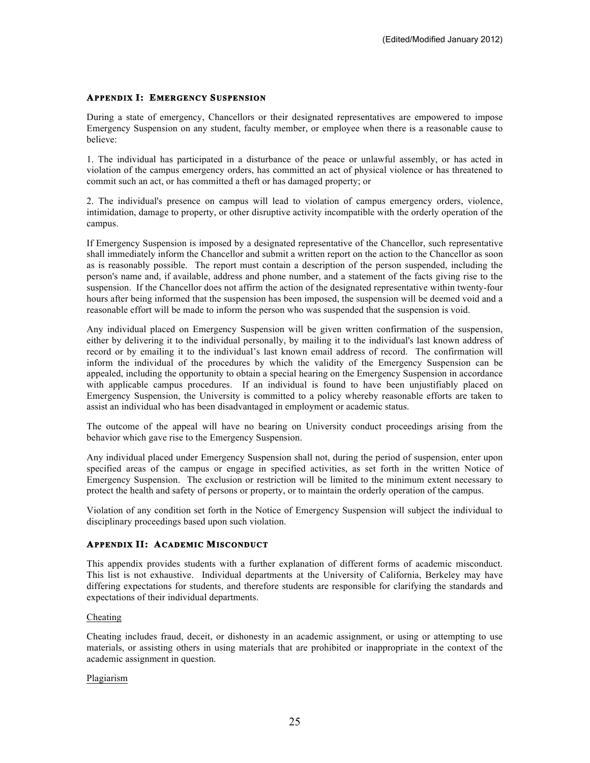# **APPENDIX I: EMERGENCY SUSPENSION**

During a state of emergency, Chancellors or their designated representatives are empowered to impose Emergency Suspension on any student, faculty member, or employee when there is a reasonable cause to believe:

1. The individual has participated in a disturbance of the peace or unlawful assembly, or has acted in violation of the campus emergency orders, has committed an act of physical violence or has threatened to commit such an act, or has committed a theft or has damaged property; or

2. The individual's presence on campus will lead to violation of campus emergency orders, violence, intimidation, damage to property, or other disruptive activity incompatible with the orderly operation of the campus.

If Emergency Suspension is imposed by a designated representative of the Chancellor, such representative shall immediately inform the Chancellor and submit a written report on the action to the Chancellor as soon as is reasonably possible. The report must contain a description of the person suspended, including the person's name and, if available, address and phone number, and a statement of the facts giving rise to the suspension. If the Chancellor does not affirm the action of the designated representative within twenty-four hours after being informed that the suspension has been imposed, the suspension will be deemed void and a reasonable effort will be made to inform the person who was suspended that the suspension is void.

Any individual placed on Emergency Suspension will be given written confirmation of the suspension, either by delivering it to the individual personally, by mailing it to the individual's last known address of record or by emailing it to the individual's last known email address of record. The confirmation will inform the individual of the procedures by which the validity of the Emergency Suspension can be appealed, including the opportunity to obtain a special hearing on the Emergency Suspension in accordance with applicable campus procedures. If an individual is found to have been unjustifiably placed on Emergency Suspension, the University is committed to a policy whereby reasonable efforts are taken to assist an individual who has been disadvantaged in employment or academic status.

The outcome of the appeal will have no bearing on University conduct proceedings arising from the behavior which gave rise to the Emergency Suspension.

Any individual placed under Emergency Suspension shall not, during the period of suspension, enter upon specified areas of the campus or engage in specified activities, as set forth in the written Notice of Emergency Suspension. The exclusion or restriction will be limited to the minimum extent necessary to protect the health and safety of persons or property, or to maintain the orderly operation of the campus.

Violation of any condition set forth in the Notice of Emergency Suspension will subject the individual to disciplinary proceedings based upon such violation.

## **APPENDIX II: ACADEMIC MISCONDUCT**

This appendix provides students with a further explanation of different forms of academic misconduct. This list is not exhaustive. Individual departments at the University of California, Berkeley may have differing expectations for students, and therefore students are responsible for clarifying the standards and expectations of their individual departments.

#### Cheating

Cheating includes fraud, deceit, or dishonesty in an academic assignment, or using or attempting to use materials, or assisting others in using materials that are prohibited or inappropriate in the context of the academic assignment in question.

#### Plagiarism